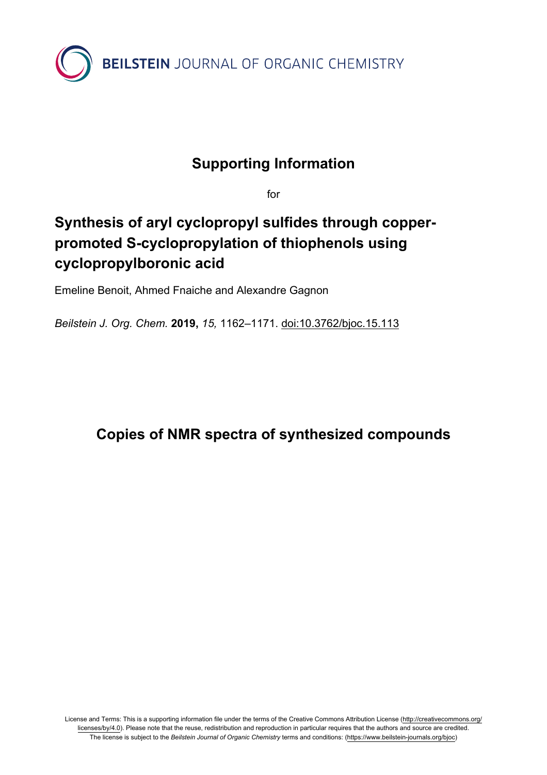

## **Supporting Information**

for

## **Synthesis of aryl cyclopropyl sulfides through copperpromoted S-cyclopropylation of thiophenols using cyclopropylboronic acid**

Emeline Benoit, Ahmed Fnaiche and Alexandre Gagnon

*Beilstein J. Org. Chem.* **2019,** *15,* 1162–1171. [doi:10.3762/bjoc.15.113](https://doi.org/10.3762%2Fbjoc.15.113)

## **Copies of NMR spectra of synthesized compounds**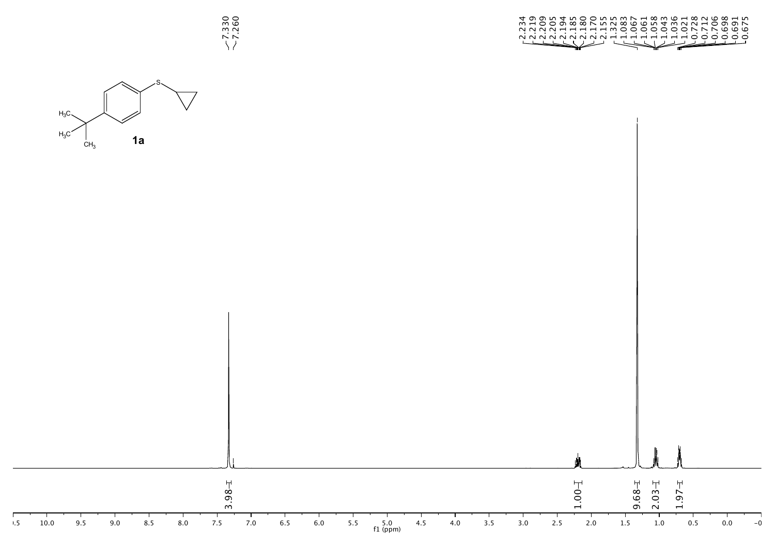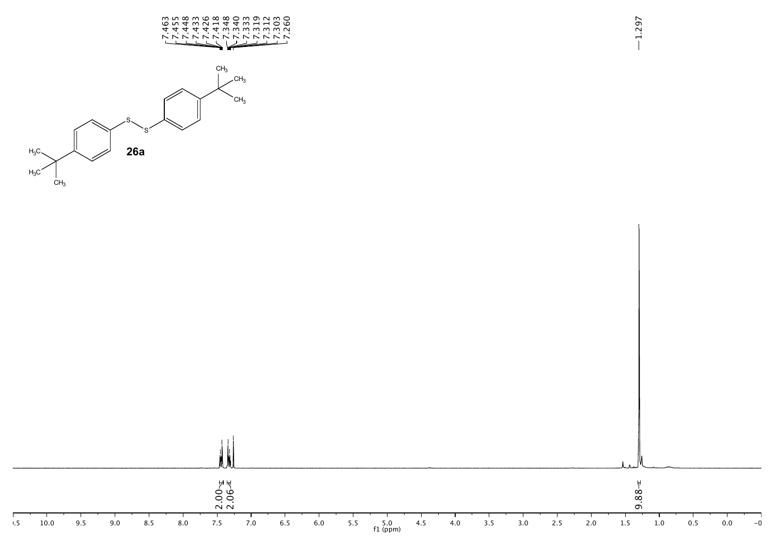



1.297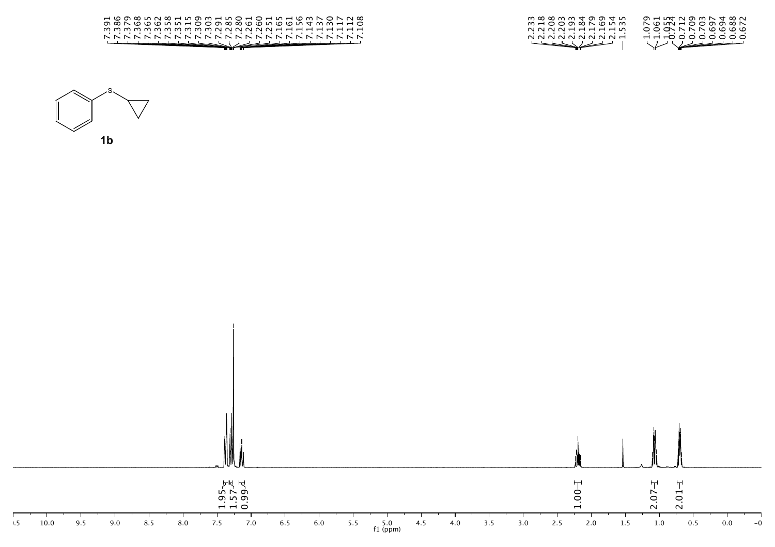

10.5 10.0 9.5 9.0 8.5 8.0 7.5 7.0 6.5 6.0 5.5 5.0 4.5 4.0 3.5 3.0 2.5 2.0 1.5 1.0 0.5 0.0 -0.5  $5.0$ <br>f1 (ppm)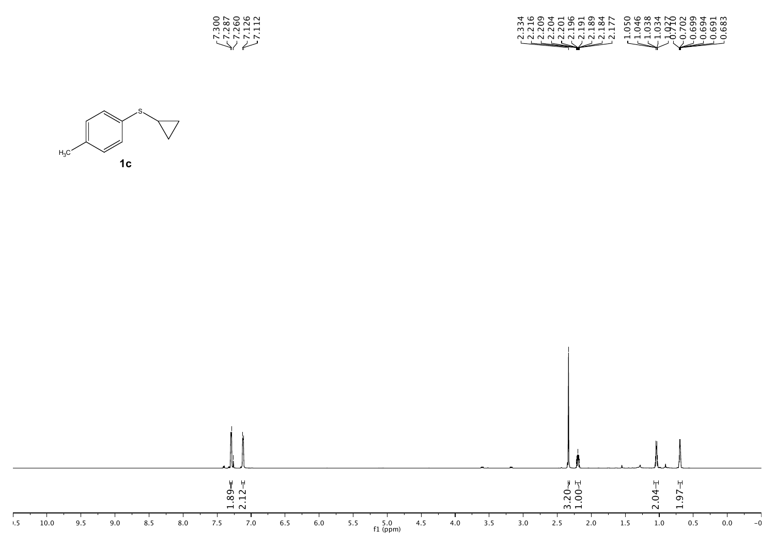

| 4 YO 4 H Y H Y & H O YO YO YO Y H W |
|-------------------------------------|
| mhoooddwwr ntmmnhodddw              |
| MNNNNHHHHH OOOOONNWWW               |
| NNNNNNNNNN HHHH <del>I</del> OOOOO  |
| Harry Williams                      |
|                                     |



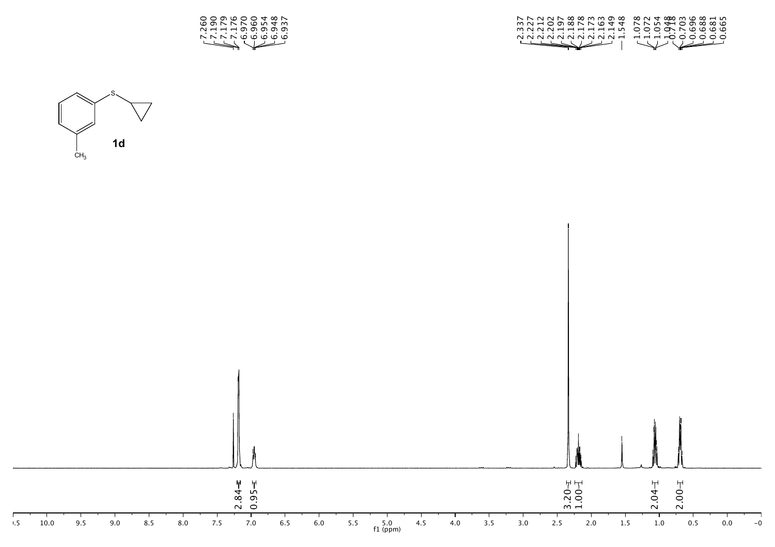

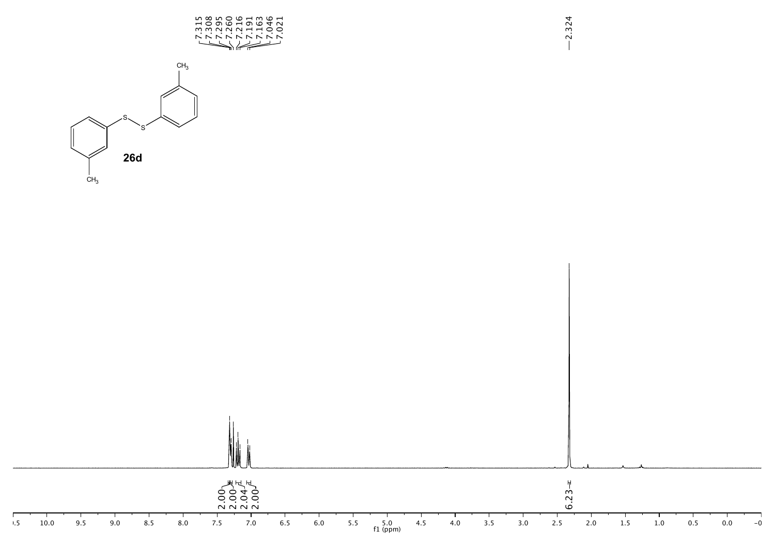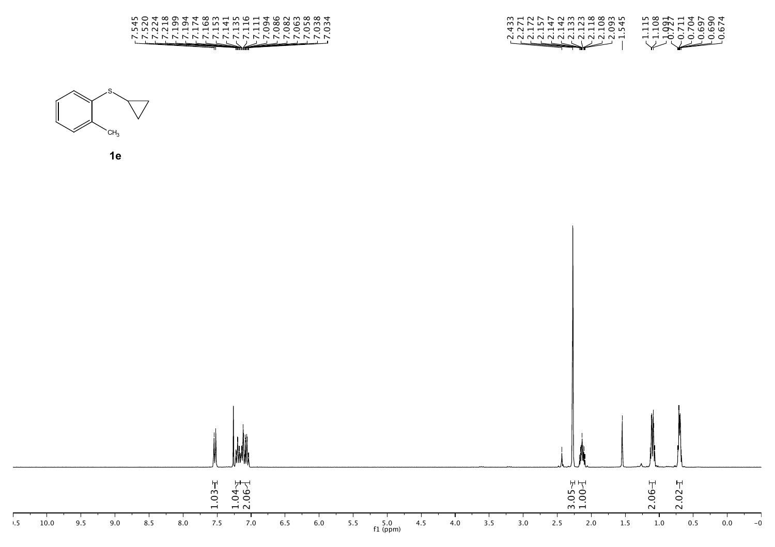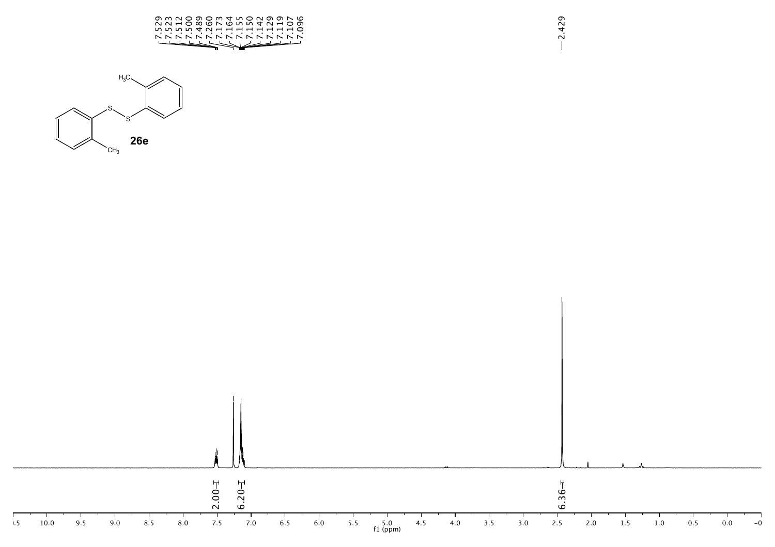





2.429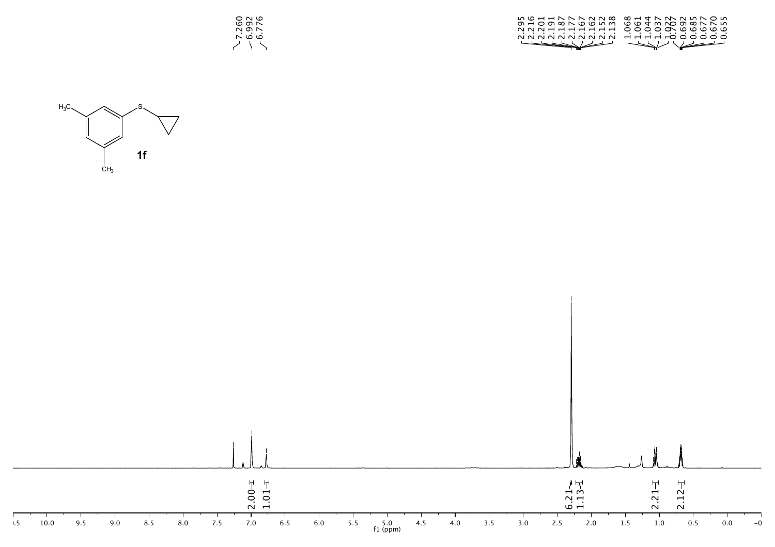

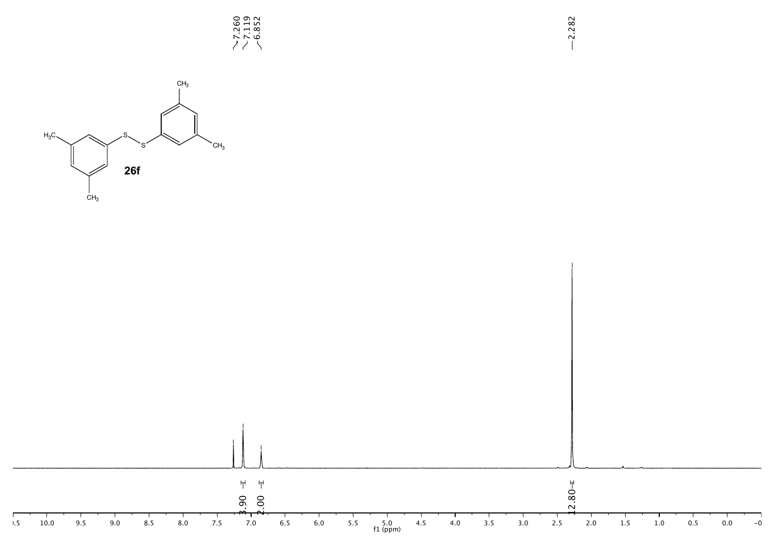

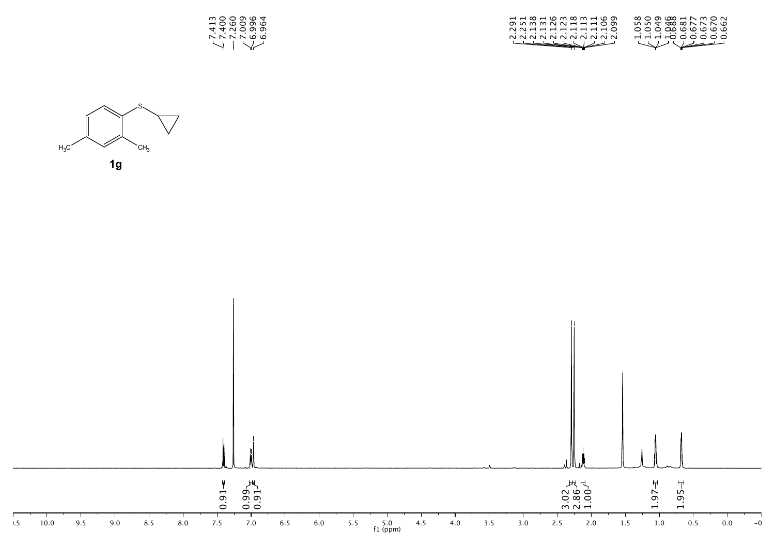



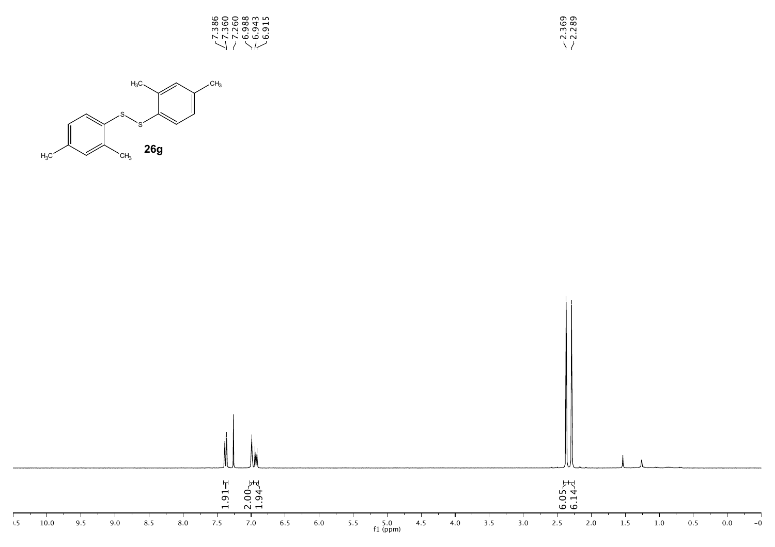

0<br>3.289<br>2.3<br>2.3



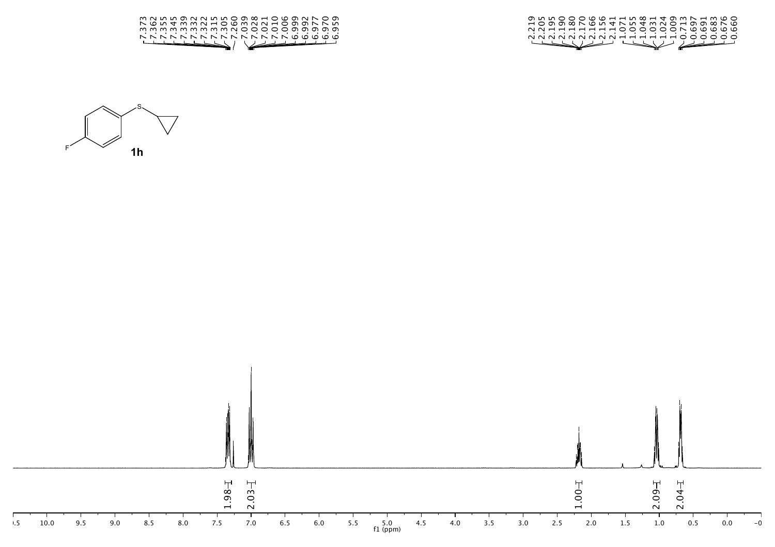

| HOGG&NGN4NN4MNOHQQ&NG                                                                                                                                                                                                         |
|-------------------------------------------------------------------------------------------------------------------------------------------------------------------------------------------------------------------------------|
| NNHHHHHHHOOOOOONWWWW                                                                                                                                                                                                          |
| .<br>NNNNNNNNNHHHHHOOOOOO                                                                                                                                                                                                     |
| Hall Hall and the state of the state of the state of the state of the state of the state of the state of the state of the state of the state of the state of the state of the state of the state of the state of the state of |
|                                                                                                                                                                                                                               |



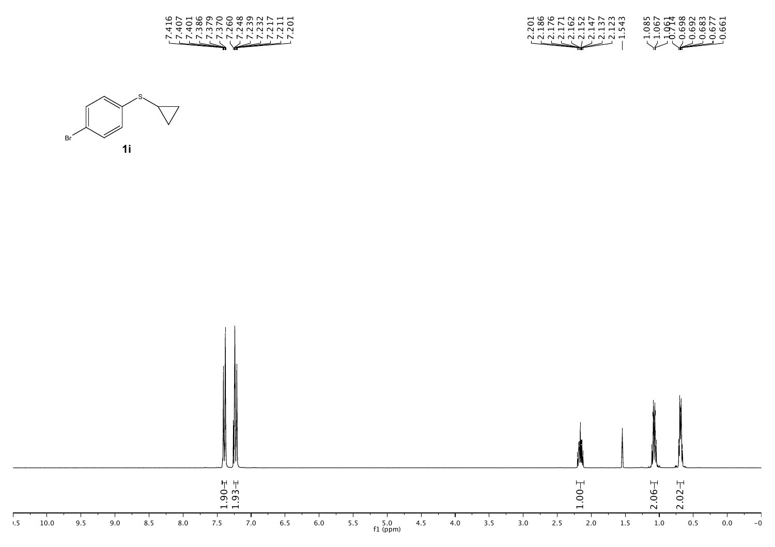

| HOOHNNNNM                                                                                                                                                                                                                                                                                                                                           | $M \sim 400$ $M \sim 100$                                |
|-----------------------------------------------------------------------------------------------------------------------------------------------------------------------------------------------------------------------------------------------------------------------------------------------------------------------------------------------------|----------------------------------------------------------|
| O & N N Q W 4 W N 4                                                                                                                                                                                                                                                                                                                                 | $\infty$ $\circ$ $\circ$ $\circ$ $\circ$ $\circ$ $\circ$ |
| $N$ ----------                                                                                                                                                                                                                                                                                                                                      | 00000000                                                 |
| .<br>NNNNNNNNH                                                                                                                                                                                                                                                                                                                                      | .<br>HH-000000                                           |
| $\begin{picture}(120,111) \put(0,0){\line(1,0){10}} \put(15,0){\line(1,0){10}} \put(15,0){\line(1,0){10}} \put(15,0){\line(1,0){10}} \put(15,0){\line(1,0){10}} \put(15,0){\line(1,0){10}} \put(15,0){\line(1,0){10}} \put(15,0){\line(1,0){10}} \put(15,0){\line(1,0){10}} \put(15,0){\line(1,0){10}} \put(15,0){\line(1,0){10}} \put(15,0){\line$ | $\searrow$                                               |
|                                                                                                                                                                                                                                                                                                                                                     |                                                          |



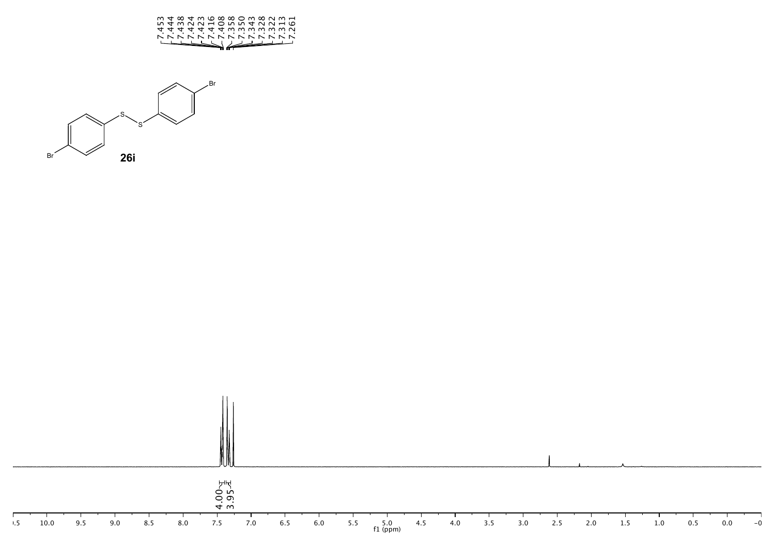



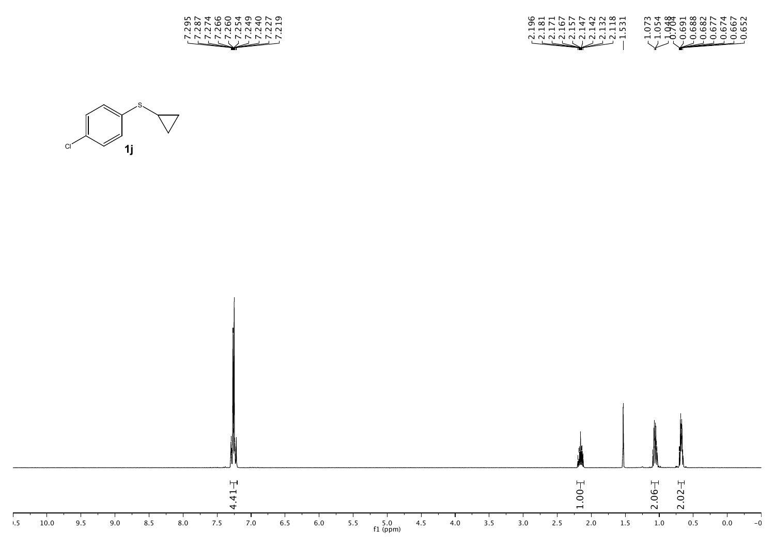

| G H H N N N N W H                                                                                                                                                                                                              | $W4$ $\infty$ $\rightarrow$ $\sim$ $\sim$ $\sim$ $\sim$ $\sim$ $\sim$ $\sim$ |
|--------------------------------------------------------------------------------------------------------------------------------------------------------------------------------------------------------------------------------|------------------------------------------------------------------------------|
| o xo n d d w H w                                                                                                                                                                                                               | N IN <del>10</del> 00 00 00 N N W IN                                         |
| ----------                                                                                                                                                                                                                     | 0000000000                                                                   |
| NNNNNNNNH                                                                                                                                                                                                                      | HH-OOOOOOOO                                                                  |
| Hallboard and the second state of the second state of the second state of the second state of the second state of the second state of the second state of the second state of the second state of the second state of the seco | $\searrow$                                                                   |



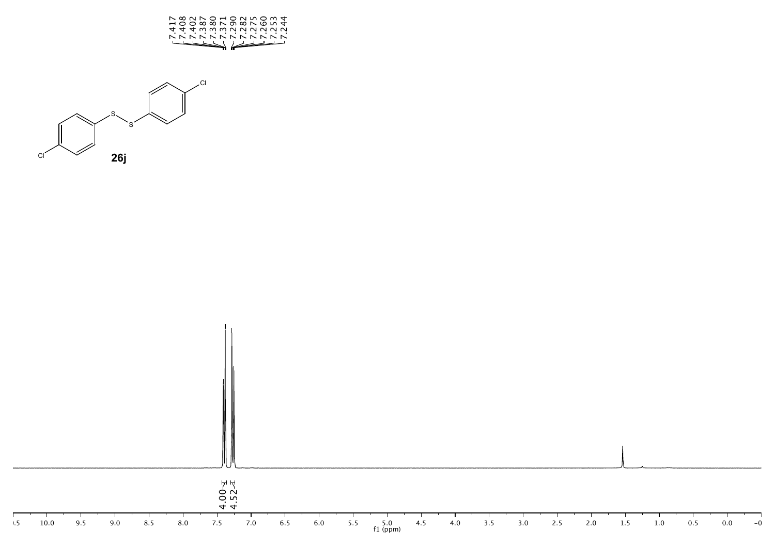



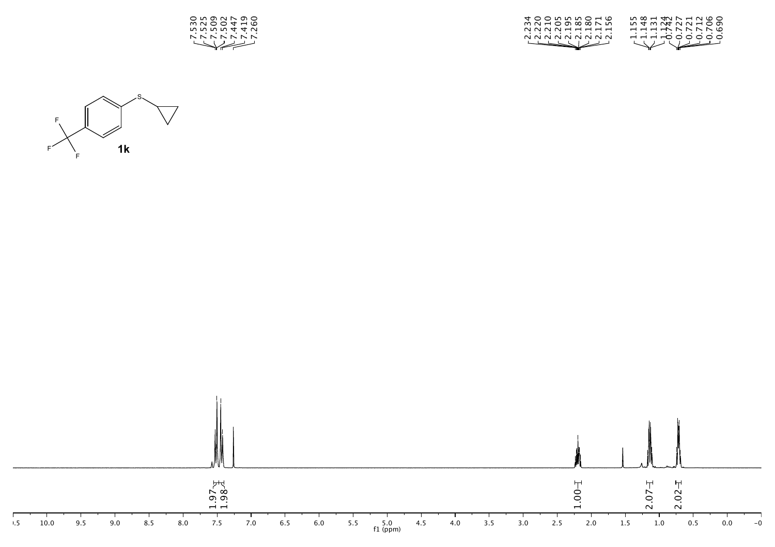

| 400 000000       | 000 H <del>4</del> N N H N W O |
|------------------|--------------------------------|
| mn H O O X X D D | ntwatundo                      |
| <b>NNNNHHHH</b>  | <b>-----------</b>             |
| .<br>NNNNNNNN    | .<br>11100000                  |
| استسلم الحطحطسة  | W Veddi                        |



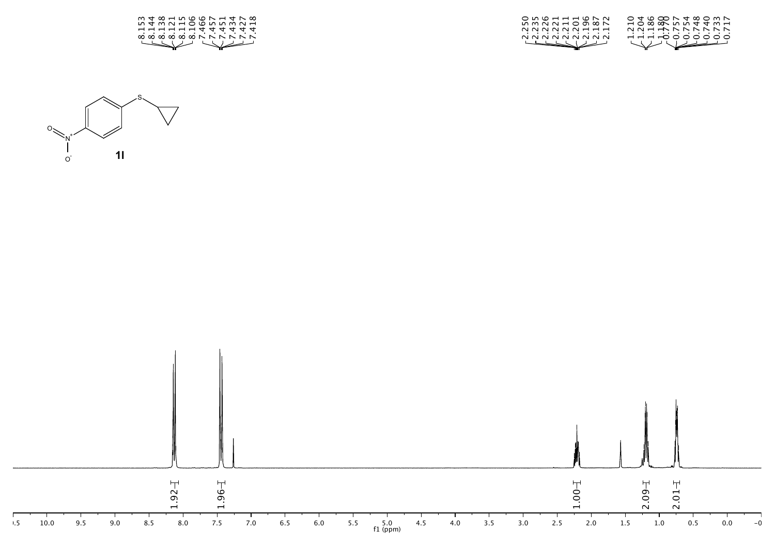





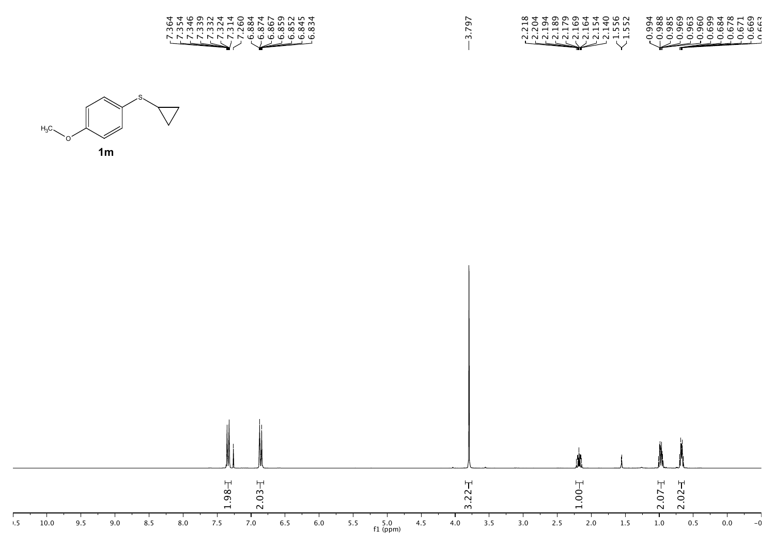

3.797

| 80440004406M                                                                                                                                                                                                                                                                                                                                        |                                                                                                                                                                                                                                                                                                                                                     |
|-----------------------------------------------------------------------------------------------------------------------------------------------------------------------------------------------------------------------------------------------------------------------------------------------------------------------------------------------------|-----------------------------------------------------------------------------------------------------------------------------------------------------------------------------------------------------------------------------------------------------------------------------------------------------------------------------------------------------|
| HO G X N W W W W W W                                                                                                                                                                                                                                                                                                                                |                                                                                                                                                                                                                                                                                                                                                     |
| 0011111110                                                                                                                                                                                                                                                                                                                                          | _______________                                                                                                                                                                                                                                                                                                                                     |
| .<br>N N N N N N N N H H                                                                                                                                                                                                                                                                                                                            | .<br>000000000000                                                                                                                                                                                                                                                                                                                                   |
| $\begin{picture}(120,111) \put(0,0){\line(1,0){10}} \put(15,0){\line(1,0){10}} \put(15,0){\line(1,0){10}} \put(15,0){\line(1,0){10}} \put(15,0){\line(1,0){10}} \put(15,0){\line(1,0){10}} \put(15,0){\line(1,0){10}} \put(15,0){\line(1,0){10}} \put(15,0){\line(1,0){10}} \put(15,0){\line(1,0){10}} \put(15,0){\line(1,0){10}} \put(15,0){\line$ | $\begin{picture}(180,10) \put(0,0){\line(1,0){10}} \put(10,0){\line(1,0){10}} \put(10,0){\line(1,0){10}} \put(10,0){\line(1,0){10}} \put(10,0){\line(1,0){10}} \put(10,0){\line(1,0){10}} \put(10,0){\line(1,0){10}} \put(10,0){\line(1,0){10}} \put(10,0){\line(1,0){10}} \put(10,0){\line(1,0){10}} \put(10,0){\line(1,0){10}} \put(10,0){\line($ |
|                                                                                                                                                                                                                                                                                                                                                     |                                                                                                                                                                                                                                                                                                                                                     |



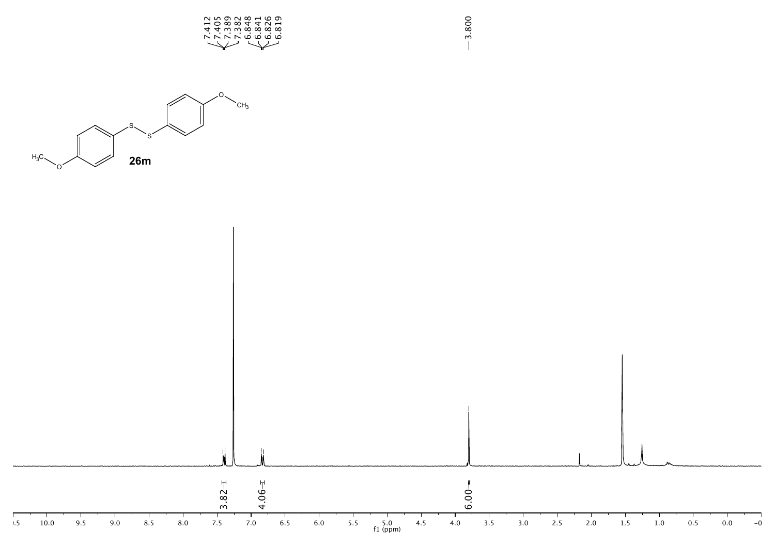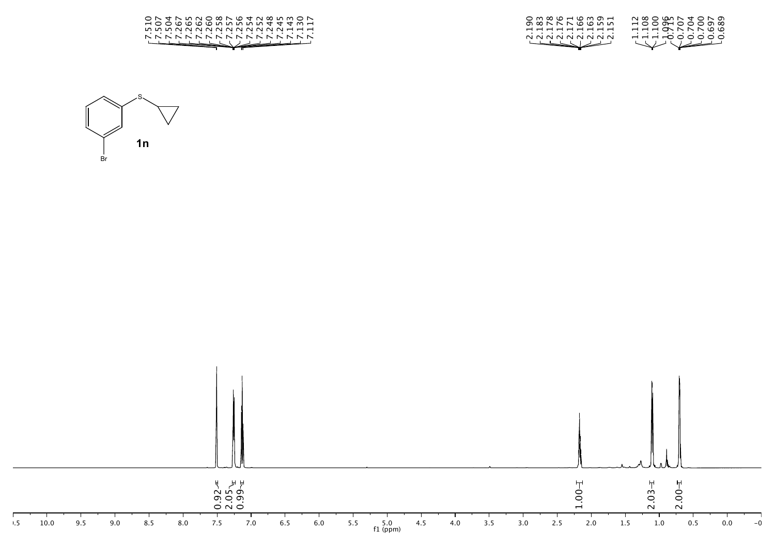| ON THUNO CONG THURSDAY<br>HOOQQQQMMMMA44WH<br><u>mmmnnnnnnnnnndd</u><br>.<br><b>NNNNNNNNNNNNNNNNN</b> | N & O W N 4 O N O<br>om∞c⊣cmo⊣<br>$\lnot$ $\lnot$ $\lnot$ $\lnot$ $\lnot$ $\lnot$ $\lnot$ $\lnot$ $\lnot$ $\lnot$ $\lnot$ $\lnot$ $\lnot$ $\lnot$ $\lnot$ $\lnot$ $\lnot$ $\lnot$ $\lnot$ $\lnot$ $\lnot$ $\lnot$ $\lnot$ $\lnot$ $\lnot$ $\lnot$ $\lnot$ $\lnot$ $\lnot$ $\lnot$ $\lnot$ $\lnot$ $\lnot$ $\lnot$ $\lnot$ $\lnot$ $\lnot$<br>000NNNOWM<br>HHHONNN WW<br>---------<br>.<br>HHHOOOOOO<br>NNNNNNNN |
|-------------------------------------------------------------------------------------------------------|-----------------------------------------------------------------------------------------------------------------------------------------------------------------------------------------------------------------------------------------------------------------------------------------------------------------------------------------------------------------------------------------------------------------|
|                                                                                                       |                                                                                                                                                                                                                                                                                                                                                                                                                 |



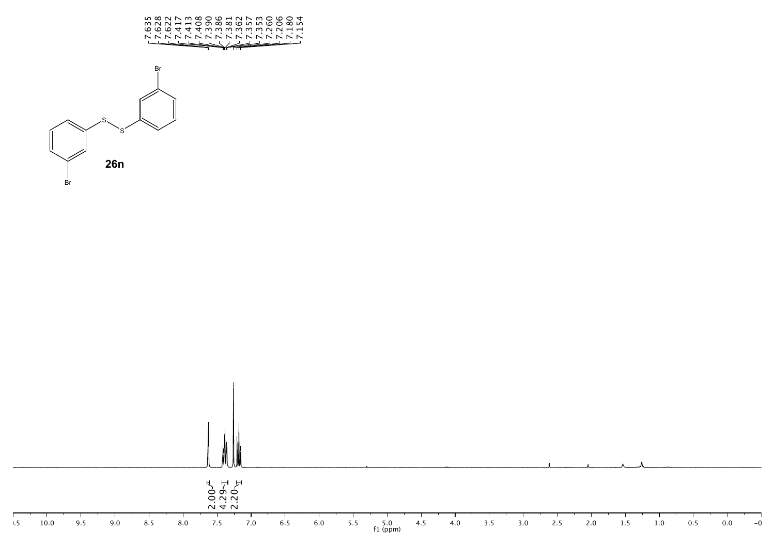

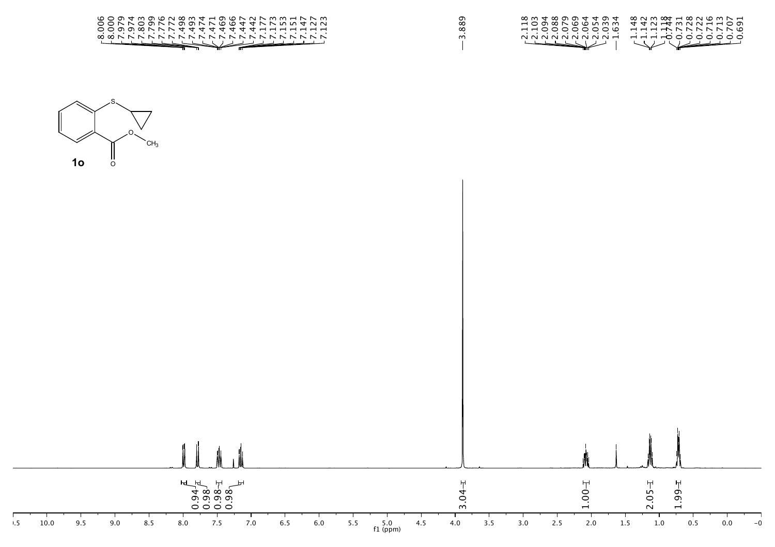